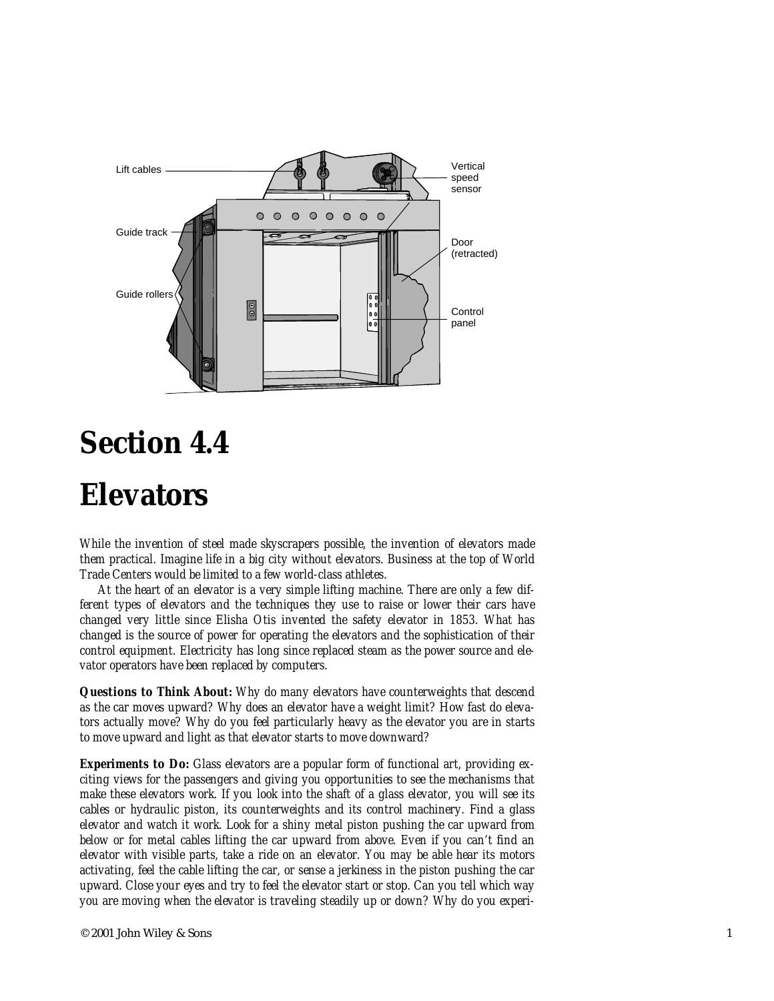

# **Section 4.4**

# **Elevators**

*While the invention of steel made skyscrapers possible, the invention of elevators made them practical. Imagine life in a big city without elevators. Business at the top of World Trade Centers would be limited to a few world-class athletes.* 

*At the heart of an elevator is a very simple lifting machine. There are only a few different types of elevators and the techniques they use to raise or lower their cars have changed very little since Elisha Otis invented the safety elevator in 1853. What has changed is the source of power for operating the elevators and the sophistication of their control equipment. Electricity has long since replaced steam as the power source and elevator operators have been replaced by computers.* 

*Questions to Think About: Why do many elevators have counterweights that descend as the car moves upward? Why does an elevator have a weight limit? How fast do elevators actually move? Why do you feel particularly heavy as the elevator you are in starts to move upward and light as that elevator starts to move downward?* 

*Experiments to Do: Glass elevators are a popular form of functional art, providing exciting views for the passengers and giving you opportunities to see the mechanisms that make these elevators work. If you look into the shaft of a glass elevator, you will see its cables or hydraulic piston, its counterweights and its control machinery. Find a glass elevator and watch it work. Look for a shiny metal piston pushing the car upward from below or for metal cables lifting the car upward from above. Even if you can't find an elevator with visible parts, take a ride on an elevator. You may be able hear its motors activating, feel the cable lifting the car, or sense a jerkiness in the piston pushing the car upward. Close your eyes and try to feel the elevator start or stop. Can you tell which way you are moving when the elevator is traveling steadily up or down? Why do you experi-*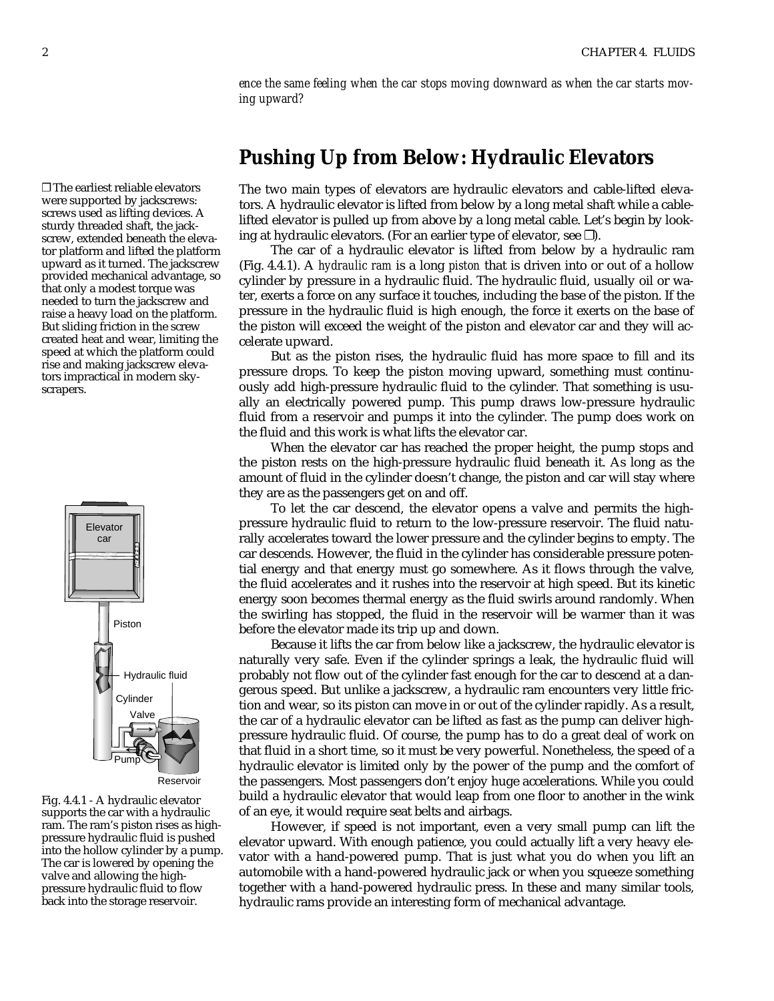*ence the same feeling when the car stops moving downward as when the car starts moving upward?* 

### **Pushing Up from Below: Hydraulic Elevators**

The two main types of elevators are hydraulic elevators and cable-lifted elevators. A hydraulic elevator is lifted from below by a long metal shaft while a cablelifted elevator is pulled up from above by a long metal cable. Let's begin by looking at hydraulic elevators. (For an earlier type of elevator, see ❐).

The car of a hydraulic elevator is lifted from below by a hydraulic ram (Fig. 4.4.1). A *hydraulic ram* is a long *piston* that is driven into or out of a hollow cylinder by pressure in a hydraulic fluid. The hydraulic fluid, usually oil or water, exerts a force on any surface it touches, including the base of the piston. If the pressure in the hydraulic fluid is high enough, the force it exerts on the base of the piston will exceed the weight of the piston and elevator car and they will accelerate upward.

But as the piston rises, the hydraulic fluid has more space to fill and its pressure drops. To keep the piston moving upward, something must continuously add high-pressure hydraulic fluid to the cylinder. That something is usually an electrically powered pump. This pump draws low-pressure hydraulic fluid from a reservoir and pumps it into the cylinder. The pump does work on the fluid and this work is what lifts the elevator car.

When the elevator car has reached the proper height, the pump stops and the piston rests on the high-pressure hydraulic fluid beneath it. As long as the amount of fluid in the cylinder doesn't change, the piston and car will stay where they are as the passengers get on and off.

To let the car descend, the elevator opens a valve and permits the highpressure hydraulic fluid to return to the low-pressure reservoir. The fluid naturally accelerates toward the lower pressure and the cylinder begins to empty. The car descends. However, the fluid in the cylinder has considerable pressure potential energy and that energy must go somewhere. As it flows through the valve, the fluid accelerates and it rushes into the reservoir at high speed. But its kinetic energy soon becomes thermal energy as the fluid swirls around randomly. When the swirling has stopped, the fluid in the reservoir will be warmer than it was before the elevator made its trip up and down.

Because it lifts the car from below like a jackscrew, the hydraulic elevator is naturally very safe. Even if the cylinder springs a leak, the hydraulic fluid will probably not flow out of the cylinder fast enough for the car to descend at a dangerous speed. But unlike a jackscrew, a hydraulic ram encounters very little friction and wear, so its piston can move in or out of the cylinder rapidly. As a result, the car of a hydraulic elevator can be lifted as fast as the pump can deliver highpressure hydraulic fluid. Of course, the pump has to do a great deal of work on that fluid in a short time, so it must be very powerful. Nonetheless, the speed of a hydraulic elevator is limited only by the power of the pump and the comfort of the passengers. Most passengers don't enjoy huge accelerations. While you could build a hydraulic elevator that would leap from one floor to another in the wink of an eye, it would require seat belts and airbags.

However, if speed is not important, even a very small pump can lift the elevator upward. With enough patience, you could actually lift a very heavy elevator with a hand-powered pump. That is just what you do when you lift an automobile with a hand-powered hydraulic jack or when you squeeze something together with a hand-powered hydraulic press. In these and many similar tools, hydraulic rams provide an interesting form of mechanical advantage.

❐ The earliest reliable elevators were supported by jackscrews: screws used as lifting devices. A sturdy threaded shaft, the jackscrew, extended beneath the elevator platform and lifted the platform upward as it turned. The jackscrew provided mechanical advantage, so that only a modest torque was needed to turn the jackscrew and raise a heavy load on the platform. But sliding friction in the screw created heat and wear, limiting the speed at which the platform could rise and making jackscrew elevators impractical in modern skyscrapers.



Fig. 4.4.1 - A hydraulic elevator supports the car with a hydraulic ram. The ram's piston rises as highpressure hydraulic fluid is pushed into the hollow cylinder by a pump. The car is lowered by opening the valve and allowing the highpressure hydraulic fluid to flow back into the storage reservoir.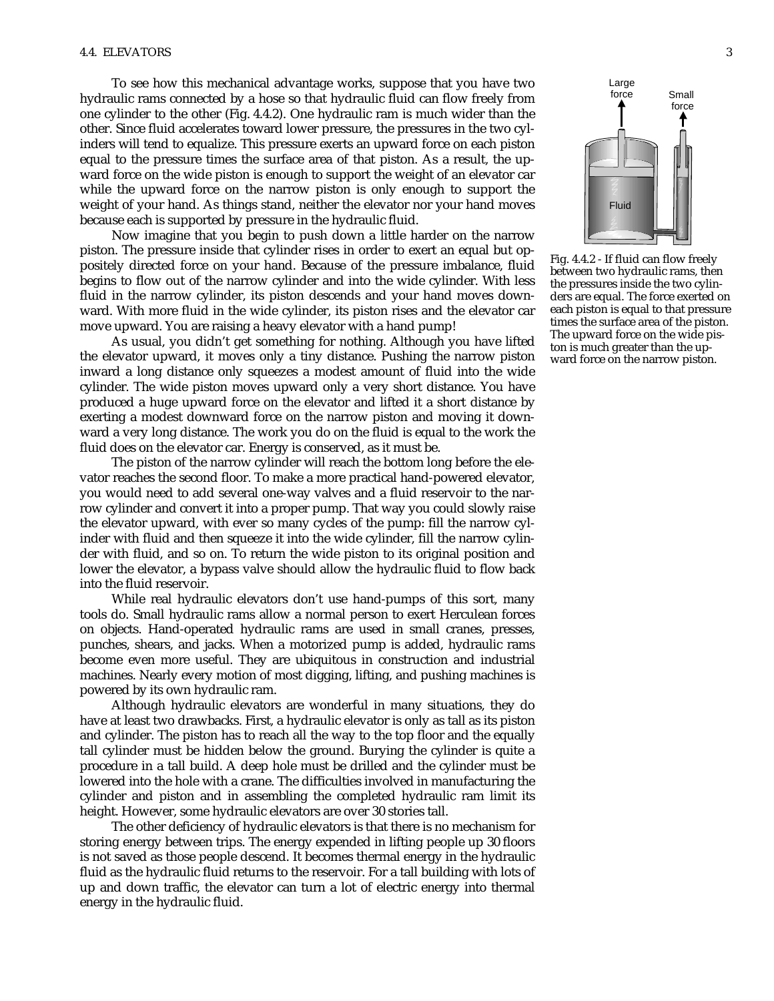To see how this mechanical advantage works, suppose that you have two hydraulic rams connected by a hose so that hydraulic fluid can flow freely from one cylinder to the other (Fig. 4.4.2). One hydraulic ram is much wider than the other. Since fluid accelerates toward lower pressure, the pressures in the two cylinders will tend to equalize. This pressure exerts an upward force on each piston equal to the pressure times the surface area of that piston. As a result, the upward force on the wide piston is enough to support the weight of an elevator car while the upward force on the narrow piston is only enough to support the weight of your hand. As things stand, neither the elevator nor your hand moves because each is supported by pressure in the hydraulic fluid.

Now imagine that you begin to push down a little harder on the narrow piston. The pressure inside that cylinder rises in order to exert an equal but oppositely directed force on your hand. Because of the pressure imbalance, fluid begins to flow out of the narrow cylinder and into the wide cylinder. With less fluid in the narrow cylinder, its piston descends and your hand moves downward. With more fluid in the wide cylinder, its piston rises and the elevator car move upward. You are raising a heavy elevator with a hand pump!

As usual, you didn't get something for nothing. Although you have lifted the elevator upward, it moves only a tiny distance. Pushing the narrow piston inward a long distance only squeezes a modest amount of fluid into the wide cylinder. The wide piston moves upward only a very short distance. You have produced a huge upward force on the elevator and lifted it a short distance by exerting a modest downward force on the narrow piston and moving it downward a very long distance. The work you do on the fluid is equal to the work the fluid does on the elevator car. Energy is conserved, as it must be.

The piston of the narrow cylinder will reach the bottom long before the elevator reaches the second floor. To make a more practical hand-powered elevator, you would need to add several one-way valves and a fluid reservoir to the narrow cylinder and convert it into a proper pump. That way you could slowly raise the elevator upward, with ever so many cycles of the pump: fill the narrow cylinder with fluid and then squeeze it into the wide cylinder, fill the narrow cylinder with fluid, and so on. To return the wide piston to its original position and lower the elevator, a bypass valve should allow the hydraulic fluid to flow back into the fluid reservoir.

While real hydraulic elevators don't use hand-pumps of this sort, many tools do. Small hydraulic rams allow a normal person to exert Herculean forces on objects. Hand-operated hydraulic rams are used in small cranes, presses, punches, shears, and jacks. When a motorized pump is added, hydraulic rams become even more useful. They are ubiquitous in construction and industrial machines. Nearly every motion of most digging, lifting, and pushing machines is powered by its own hydraulic ram.

Although hydraulic elevators are wonderful in many situations, they do have at least two drawbacks. First, a hydraulic elevator is only as tall as its piston and cylinder. The piston has to reach all the way to the top floor and the equally tall cylinder must be hidden below the ground. Burying the cylinder is quite a procedure in a tall build. A deep hole must be drilled and the cylinder must be lowered into the hole with a crane. The difficulties involved in manufacturing the cylinder and piston and in assembling the completed hydraulic ram limit its height. However, some hydraulic elevators are over 30 stories tall.

The other deficiency of hydraulic elevators is that there is no mechanism for storing energy between trips. The energy expended in lifting people up 30 floors is not saved as those people descend. It becomes thermal energy in the hydraulic fluid as the hydraulic fluid returns to the reservoir. For a tall building with lots of up and down traffic, the elevator can turn a lot of electric energy into thermal energy in the hydraulic fluid.



Fig. 4.4.2 - If fluid can flow freely between two hydraulic rams, then the pressures inside the two cylinders are equal. The force exerted on each piston is equal to that pressure times the surface area of the piston. The upward force on the wide piston is much greater than the upward force on the narrow piston.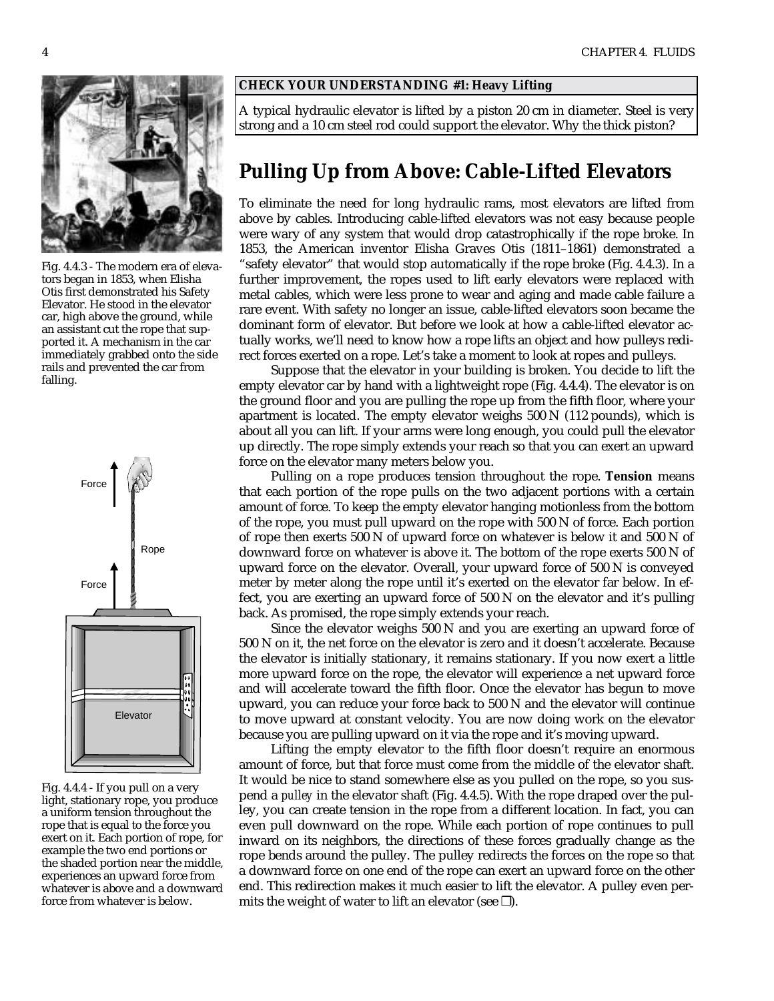

Fig. 4.4.3 - The modern era of elevators began in 1853, when Elisha Otis first demonstrated his Safety Elevator. He stood in the elevator car, high above the ground, while an assistant cut the rope that supported it. A mechanism in the car immediately grabbed onto the side rails and prevented the car from falling.



Fig. 4.4.4 - If you pull on a very light, stationary rope, you produce a uniform tension throughout the rope that is equal to the force you exert on it. Each portion of rope, for example the two end portions or the shaded portion near the middle, experiences an upward force from whatever is above and a downward force from whatever is below.

#### **CHECK YOUR UNDERSTANDING #1: Heavy Lifting**

A typical hydraulic elevator is lifted by a piston 20 cm in diameter. Steel is very strong and a 10 cm steel rod could support the elevator. Why the thick piston?

## **Pulling Up from Above: Cable-Lifted Elevators**

To eliminate the need for long hydraulic rams, most elevators are lifted from above by cables. Introducing cable-lifted elevators was not easy because people were wary of any system that would drop catastrophically if the rope broke. In 1853, the American inventor Elisha Graves Otis (1811–1861) demonstrated a "safety elevator" that would stop automatically if the rope broke (Fig. 4.4.3). In a further improvement, the ropes used to lift early elevators were replaced with metal cables, which were less prone to wear and aging and made cable failure a rare event. With safety no longer an issue, cable-lifted elevators soon became the dominant form of elevator. But before we look at how a cable-lifted elevator actually works, we'll need to know how a rope lifts an object and how pulleys redirect forces exerted on a rope. Let's take a moment to look at ropes and pulleys.

Suppose that the elevator in your building is broken. You decide to lift the empty elevator car by hand with a lightweight rope (Fig. 4.4.4). The elevator is on the ground floor and you are pulling the rope up from the fifth floor, where your apartment is located. The empty elevator weighs 500 N (112 pounds), which is about all you can lift. If your arms were long enough, you could pull the elevator up directly. The rope simply extends your reach so that you can exert an upward force on the elevator many meters below you.

Pulling on a rope produces tension throughout the rope. **Tension** means that each portion of the rope pulls on the two adjacent portions with a certain amount of force. To keep the empty elevator hanging motionless from the bottom of the rope, you must pull upward on the rope with 500 N of force. Each portion of rope then exerts 500 N of upward force on whatever is below it and 500 N of downward force on whatever is above it. The bottom of the rope exerts 500 N of upward force on the elevator. Overall, your upward force of 500 N is conveyed meter by meter along the rope until it's exerted on the elevator far below. In effect, you are exerting an upward force of 500 N on the elevator and it's pulling back. As promised, the rope simply extends your reach.

Since the elevator weighs 500 N and you are exerting an upward force of 500 N on it, the net force on the elevator is zero and it doesn't accelerate. Because the elevator is initially stationary, it remains stationary. If you now exert a little more upward force on the rope, the elevator will experience a net upward force and will accelerate toward the fifth floor. Once the elevator has begun to move upward, you can reduce your force back to 500 N and the elevator will continue to move upward at constant velocity. You are now doing work on the elevator because you are pulling upward on it via the rope and it's moving upward.

Lifting the empty elevator to the fifth floor doesn't require an enormous amount of force, but that force must come from the middle of the elevator shaft. It would be nice to stand somewhere else as you pulled on the rope, so you suspend a *pulley* in the elevator shaft (Fig. 4.4.5). With the rope draped over the pulley, you can create tension in the rope from a different location. In fact, you can even pull downward on the rope. While each portion of rope continues to pull inward on its neighbors, the directions of these forces gradually change as the rope bends around the pulley. The pulley redirects the forces on the rope so that a downward force on one end of the rope can exert an upward force on the other end. This redirection makes it much easier to lift the elevator. A pulley even permits the weight of water to lift an elevator (see  $\square$ ).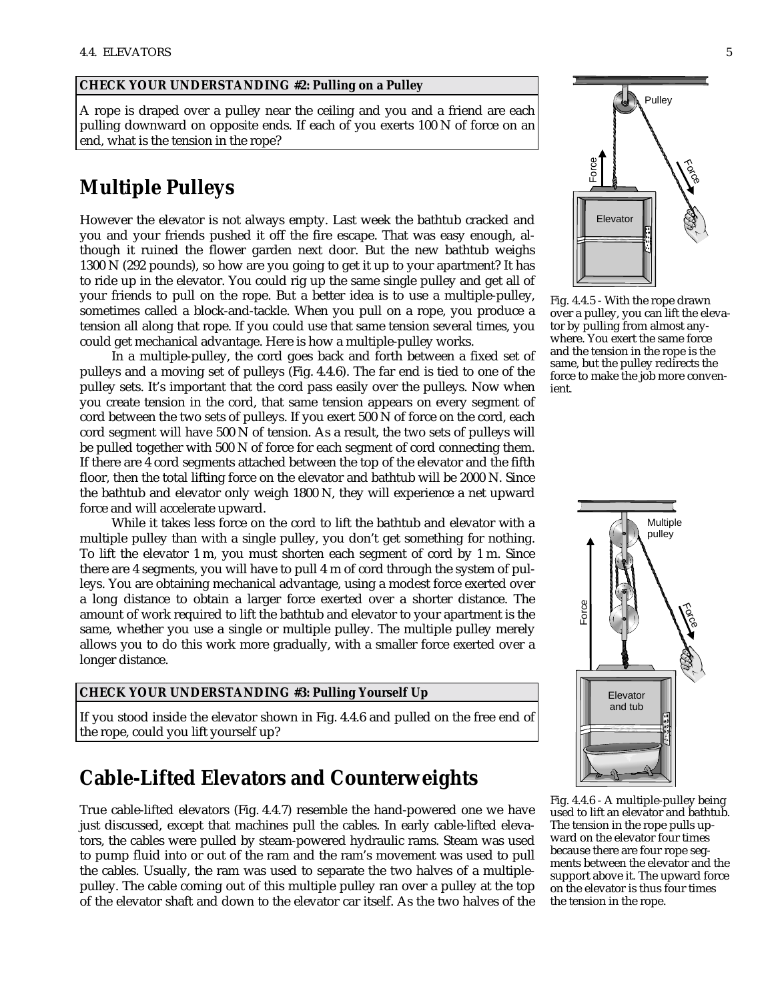#### **CHECK YOUR UNDERSTANDING #2: Pulling on a Pulley**

A rope is draped over a pulley near the ceiling and you and a friend are each pulling downward on opposite ends. If each of you exerts 100 N of force on an end, what is the tension in the rope?

## **Multiple Pulleys**

However the elevator is not always empty. Last week the bathtub cracked and you and your friends pushed it off the fire escape. That was easy enough, although it ruined the flower garden next door. But the new bathtub weighs 1300 N (292 pounds), so how are you going to get it up to your apartment? It has to ride up in the elevator. You could rig up the same single pulley and get all of your friends to pull on the rope. But a better idea is to use a multiple-pulley, sometimes called a block-and-tackle. When you pull on a rope, you produce a tension all along that rope. If you could use that same tension several times, you could get mechanical advantage. Here is how a multiple-pulley works.

In a multiple-pulley, the cord goes back and forth between a fixed set of pulleys and a moving set of pulleys (Fig. 4.4.6). The far end is tied to one of the pulley sets. It's important that the cord pass easily over the pulleys. Now when you create tension in the cord, that same tension appears on every segment of cord between the two sets of pulleys. If you exert 500 N of force on the cord, each cord segment will have 500 N of tension. As a result, the two sets of pulleys will be pulled together with 500 N of force for each segment of cord connecting them. If there are 4 cord segments attached between the top of the elevator and the fifth floor, then the total lifting force on the elevator and bathtub will be 2000 N. Since the bathtub and elevator only weigh 1800 N, they will experience a net upward force and will accelerate upward.

While it takes less force on the cord to lift the bathtub and elevator with a multiple pulley than with a single pulley, you don't get something for nothing. To lift the elevator 1 m, you must shorten each segment of cord by 1 m. Since there are 4 segments, you will have to pull 4 m of cord through the system of pulleys. You are obtaining mechanical advantage, using a modest force exerted over a long distance to obtain a larger force exerted over a shorter distance. The amount of work required to lift the bathtub and elevator to your apartment is the same, whether you use a single or multiple pulley. The multiple pulley merely allows you to do this work more gradually, with a smaller force exerted over a longer distance.

#### **CHECK YOUR UNDERSTANDING #3: Pulling Yourself Up**

If you stood inside the elevator shown in Fig. 4.4.6 and pulled on the free end of the rope, could you lift yourself up?

# **Cable-Lifted Elevators and Counterweights**

True cable-lifted elevators (Fig. 4.4.7) resemble the hand-powered one we have just discussed, except that machines pull the cables. In early cable-lifted elevators, the cables were pulled by steam-powered hydraulic rams. Steam was used to pump fluid into or out of the ram and the ram's movement was used to pull the cables. Usually, the ram was used to separate the two halves of a multiplepulley. The cable coming out of this multiple pulley ran over a pulley at the top of the elevator shaft and down to the elevator car itself. As the two halves of the



Fig. 4.4.5 - With the rope drawn over a pulley, you can lift the elevator by pulling from almost anywhere. You exert the same force and the tension in the rope is the same, but the pulley redirects the force to make the job more convenient.



Fig. 4.4.6 - A multiple-pulley being used to lift an elevator and bathtub. The tension in the rope pulls upward on the elevator four times because there are four rope segments between the elevator and the support above it. The upward force on the elevator is thus four times the tension in the rope.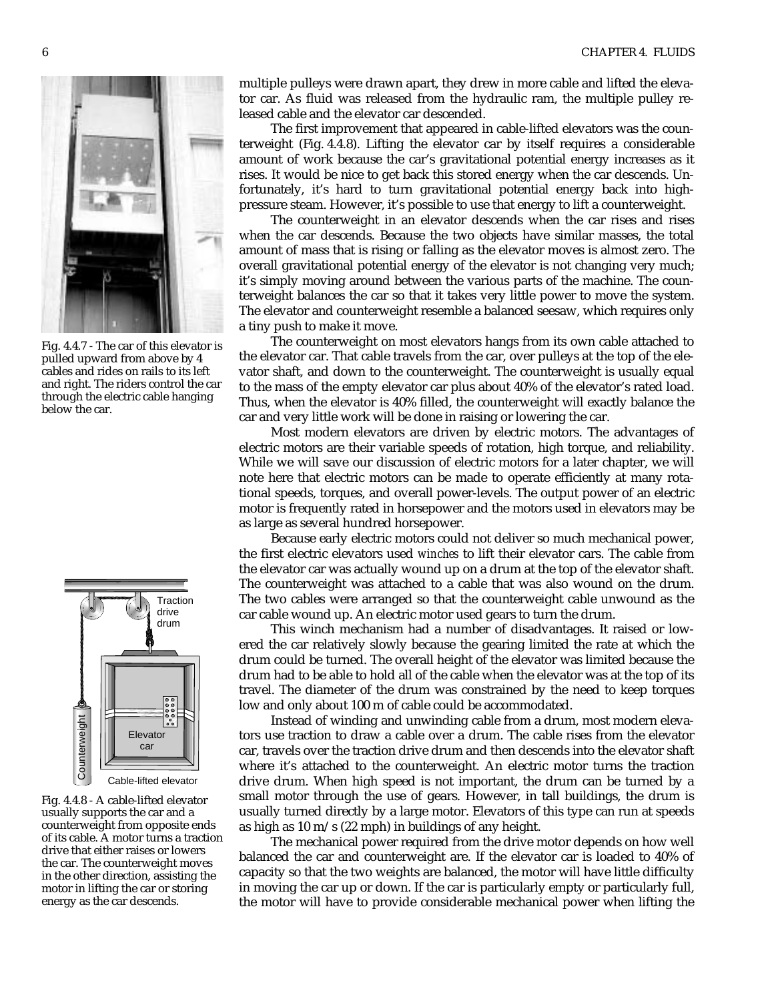

Fig. 4.4.7 - The car of this elevator is pulled upward from above by 4 cables and rides on rails to its left and right. The riders control the car through the electric cable hanging below the car.



Fig. 4.4.8 - A cable-lifted elevator usually supports the car and a counterweight from opposite ends of its cable. A motor turns a traction drive that either raises or lowers the car. The counterweight moves in the other direction, assisting the motor in lifting the car or storing energy as the car descends.

multiple pulleys were drawn apart, they drew in more cable and lifted the elevator car. As fluid was released from the hydraulic ram, the multiple pulley released cable and the elevator car descended.

The first improvement that appeared in cable-lifted elevators was the counterweight (Fig. 4.4.8). Lifting the elevator car by itself requires a considerable amount of work because the car's gravitational potential energy increases as it rises. It would be nice to get back this stored energy when the car descends. Unfortunately, it's hard to turn gravitational potential energy back into highpressure steam. However, it's possible to use that energy to lift a counterweight.

The counterweight in an elevator descends when the car rises and rises when the car descends. Because the two objects have similar masses, the total amount of mass that is rising or falling as the elevator moves is almost zero. The overall gravitational potential energy of the elevator is not changing very much; it's simply moving around between the various parts of the machine. The counterweight balances the car so that it takes very little power to move the system. The elevator and counterweight resemble a balanced seesaw, which requires only a tiny push to make it move.

The counterweight on most elevators hangs from its own cable attached to the elevator car. That cable travels from the car, over pulleys at the top of the elevator shaft, and down to the counterweight. The counterweight is usually equal to the mass of the empty elevator car plus about 40% of the elevator's rated load. Thus, when the elevator is 40% filled, the counterweight will exactly balance the car and very little work will be done in raising or lowering the car.

Most modern elevators are driven by electric motors. The advantages of electric motors are their variable speeds of rotation, high torque, and reliability. While we will save our discussion of electric motors for a later chapter, we will note here that electric motors can be made to operate efficiently at many rotational speeds, torques, and overall power-levels. The output power of an electric motor is frequently rated in horsepower and the motors used in elevators may be as large as several hundred horsepower.

Because early electric motors could not deliver so much mechanical power, the first electric elevators used *winches* to lift their elevator cars. The cable from the elevator car was actually wound up on a drum at the top of the elevator shaft. The counterweight was attached to a cable that was also wound on the drum. The two cables were arranged so that the counterweight cable unwound as the car cable wound up. An electric motor used gears to turn the drum.

This winch mechanism had a number of disadvantages. It raised or lowered the car relatively slowly because the gearing limited the rate at which the drum could be turned. The overall height of the elevator was limited because the drum had to be able to hold all of the cable when the elevator was at the top of its travel. The diameter of the drum was constrained by the need to keep torques low and only about 100 m of cable could be accommodated.

Instead of winding and unwinding cable from a drum, most modern elevators use traction to draw a cable over a drum. The cable rises from the elevator car, travels over the traction drive drum and then descends into the elevator shaft where it's attached to the counterweight. An electric motor turns the traction drive drum. When high speed is not important, the drum can be turned by a small motor through the use of gears. However, in tall buildings, the drum is usually turned directly by a large motor. Elevators of this type can run at speeds as high as 10 m/s (22 mph) in buildings of any height.

The mechanical power required from the drive motor depends on how well balanced the car and counterweight are. If the elevator car is loaded to 40% of capacity so that the two weights are balanced, the motor will have little difficulty in moving the car up or down. If the car is particularly empty or particularly full, the motor will have to provide considerable mechanical power when lifting the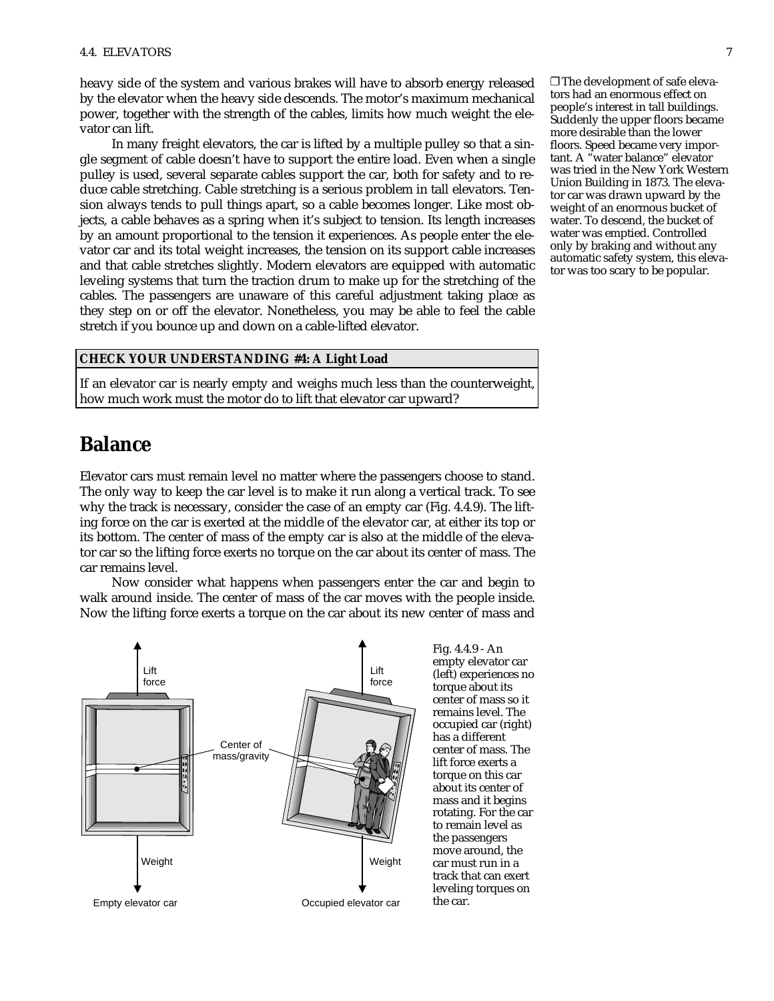heavy side of the system and various brakes will have to absorb energy released by the elevator when the heavy side descends. The motor's maximum mechanical power, together with the strength of the cables, limits how much weight the elevator can lift.

In many freight elevators, the car is lifted by a multiple pulley so that a single segment of cable doesn't have to support the entire load. Even when a single pulley is used, several separate cables support the car, both for safety and to reduce cable stretching. Cable stretching is a serious problem in tall elevators. Tension always tends to pull things apart, so a cable becomes longer. Like most objects, a cable behaves as a spring when it's subject to tension. Its length increases by an amount proportional to the tension it experiences. As people enter the elevator car and its total weight increases, the tension on its support cable increases and that cable stretches slightly. Modern elevators are equipped with automatic leveling systems that turn the traction drum to make up for the stretching of the cables. The passengers are unaware of this careful adjustment taking place as they step on or off the elevator. Nonetheless, you may be able to feel the cable stretch if you bounce up and down on a cable-lifted elevator.

#### **CHECK YOUR UNDERSTANDING #4: A Light Load**

If an elevator car is nearly empty and weighs much less than the counterweight, how much work must the motor do to lift that elevator car upward?

### **Balance**

Elevator cars must remain level no matter where the passengers choose to stand. The only way to keep the car level is to make it run along a vertical track. To see why the track is necessary, consider the case of an empty car (Fig. 4.4.9). The lifting force on the car is exerted at the middle of the elevator car, at either its top or its bottom. The center of mass of the empty car is also at the middle of the elevator car so the lifting force exerts no torque on the car about its center of mass. The car remains level.

Now consider what happens when passengers enter the car and begin to walk around inside. The center of mass of the car moves with the people inside. Now the lifting force exerts a torque on the car about its new center of mass and



Fig. 4.4.9 - An empty elevator car (left) experiences no torque about its center of mass so it remains level. The occupied car (right) has a different center of mass. The lift force exerts a torque on this car about its center of mass and it begins rotating. For the car to remain level as the passengers move around, the car must run in a track that can exert leveling torques on the car.

❐ The development of safe elevators had an enormous effect on people's interest in tall buildings. Suddenly the upper floors became more desirable than the lower floors. Speed became very important. A "water balance" elevator was tried in the New York Western Union Building in 1873. The elevator car was drawn upward by the weight of an enormous bucket of water. To descend, the bucket of water was emptied. Controlled only by braking and without any automatic safety system, this elevator was too scary to be popular.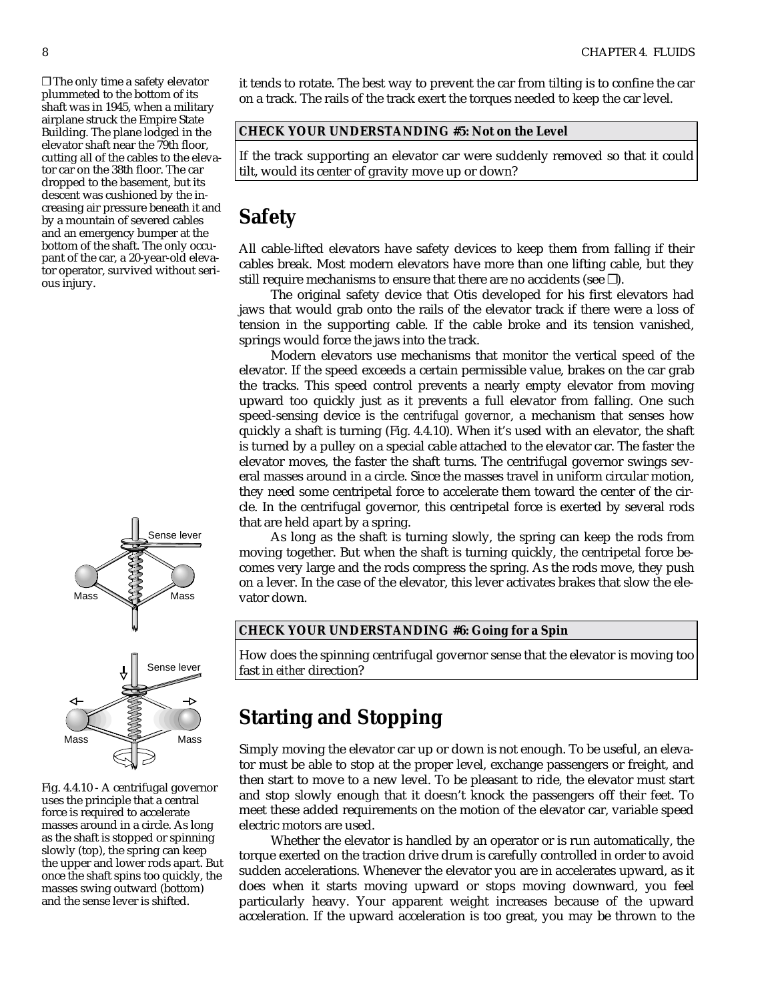❐ The only time a safety elevator plummeted to the bottom of its shaft was in 1945, when a military airplane struck the Empire State Building. The plane lodged in the elevator shaft near the 79th floor, cutting all of the cables to the elevator car on the 38th floor. The car dropped to the basement, but its descent was cushioned by the increasing air pressure beneath it and by a mountain of severed cables and an emergency bumper at the bottom of the shaft. The only occupant of the car, a 20-year-old elevator operator, survived without serious injury.



Fig. 4.4.10 - A centrifugal governor uses the principle that a central force is required to accelerate masses around in a circle. As long as the shaft is stopped or spinning slowly (top), the spring can keep the upper and lower rods apart. But once the shaft spins too quickly, the masses swing outward (bottom) and the sense lever is shifted.

it tends to rotate. The best way to prevent the car from tilting is to confine the car on a track. The rails of the track exert the torques needed to keep the car level.

#### **CHECK YOUR UNDERSTANDING #5: Not on the Level**

If the track supporting an elevator car were suddenly removed so that it could tilt, would its center of gravity move up or down?

### **Safety**

All cable-lifted elevators have safety devices to keep them from falling if their cables break. Most modern elevators have more than one lifting cable, but they still require mechanisms to ensure that there are no accidents (see  $\Box$ ).

The original safety device that Otis developed for his first elevators had jaws that would grab onto the rails of the elevator track if there were a loss of tension in the supporting cable. If the cable broke and its tension vanished, springs would force the jaws into the track.

Modern elevators use mechanisms that monitor the vertical speed of the elevator. If the speed exceeds a certain permissible value, brakes on the car grab the tracks. This speed control prevents a nearly empty elevator from moving upward too quickly just as it prevents a full elevator from falling. One such speed-sensing device is the *centrifugal governor*, a mechanism that senses how quickly a shaft is turning (Fig. 4.4.10). When it's used with an elevator, the shaft is turned by a pulley on a special cable attached to the elevator car. The faster the elevator moves, the faster the shaft turns. The centrifugal governor swings several masses around in a circle. Since the masses travel in uniform circular motion, they need some centripetal force to accelerate them toward the center of the circle. In the centrifugal governor, this centripetal force is exerted by several rods that are held apart by a spring.

As long as the shaft is turning slowly, the spring can keep the rods from moving together. But when the shaft is turning quickly, the centripetal force becomes very large and the rods compress the spring. As the rods move, they push on a lever. In the case of the elevator, this lever activates brakes that slow the elevator down.

#### **CHECK YOUR UNDERSTANDING #6: Going for a Spin**

How does the spinning centrifugal governor sense that the elevator is moving too fast in *either* direction?

# **Starting and Stopping**

Simply moving the elevator car up or down is not enough. To be useful, an elevator must be able to stop at the proper level, exchange passengers or freight, and then start to move to a new level. To be pleasant to ride, the elevator must start and stop slowly enough that it doesn't knock the passengers off their feet. To meet these added requirements on the motion of the elevator car, variable speed electric motors are used.

Whether the elevator is handled by an operator or is run automatically, the torque exerted on the traction drive drum is carefully controlled in order to avoid sudden accelerations. Whenever the elevator you are in accelerates upward, as it does when it starts moving upward or stops moving downward, you feel particularly heavy. Your apparent weight increases because of the upward acceleration. If the upward acceleration is too great, you may be thrown to the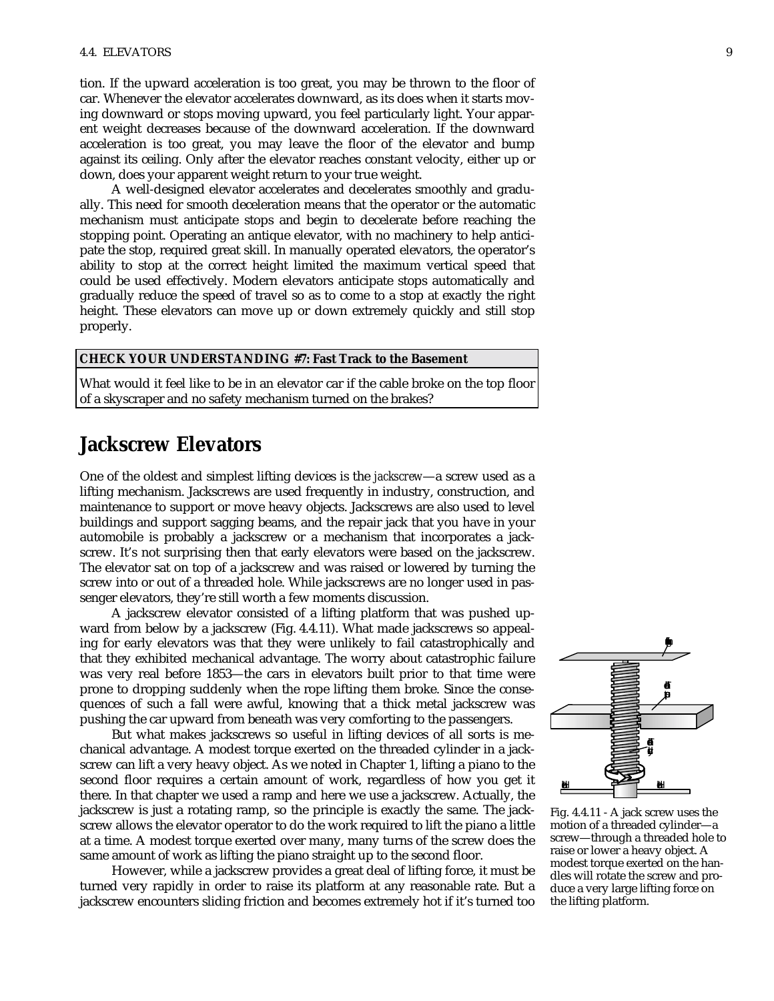tion. If the upward acceleration is too great, you may be thrown to the floor of car. Whenever the elevator accelerates downward, as its does when it starts moving downward or stops moving upward, you feel particularly light. Your apparent weight decreases because of the downward acceleration. If the downward acceleration is too great, you may leave the floor of the elevator and bump against its ceiling. Only after the elevator reaches constant velocity, either up or down, does your apparent weight return to your true weight.

A well-designed elevator accelerates and decelerates smoothly and gradually. This need for smooth deceleration means that the operator or the automatic mechanism must anticipate stops and begin to decelerate before reaching the stopping point. Operating an antique elevator, with no machinery to help anticipate the stop, required great skill. In manually operated elevators, the operator's ability to stop at the correct height limited the maximum vertical speed that could be used effectively. Modern elevators anticipate stops automatically and gradually reduce the speed of travel so as to come to a stop at exactly the right height. These elevators can move up or down extremely quickly and still stop properly.

#### **CHECK YOUR UNDERSTANDING #7: Fast Track to the Basement**

What would it feel like to be in an elevator car if the cable broke on the top floor of a skyscraper and no safety mechanism turned on the brakes?

### **Jackscrew Elevators**

One of the oldest and simplest lifting devices is the *jackscrew*—a screw used as a lifting mechanism. Jackscrews are used frequently in industry, construction, and maintenance to support or move heavy objects. Jackscrews are also used to level buildings and support sagging beams, and the repair jack that you have in your automobile is probably a jackscrew or a mechanism that incorporates a jackscrew. It's not surprising then that early elevators were based on the jackscrew. The elevator sat on top of a jackscrew and was raised or lowered by turning the screw into or out of a threaded hole. While jackscrews are no longer used in passenger elevators, they're still worth a few moments discussion.

A jackscrew elevator consisted of a lifting platform that was pushed upward from below by a jackscrew (Fig. 4.4.11). What made jackscrews so appealing for early elevators was that they were unlikely to fail catastrophically and that they exhibited mechanical advantage. The worry about catastrophic failure was very real before 1853—the cars in elevators built prior to that time were prone to dropping suddenly when the rope lifting them broke. Since the consequences of such a fall were awful, knowing that a thick metal jackscrew was pushing the car upward from beneath was very comforting to the passengers.

But what makes jackscrews so useful in lifting devices of all sorts is mechanical advantage. A modest torque exerted on the threaded cylinder in a jackscrew can lift a very heavy object. As we noted in Chapter 1, lifting a piano to the second floor requires a certain amount of work, regardless of how you get it there. In that chapter we used a ramp and here we use a jackscrew. Actually, the jackscrew is just a rotating ramp, so the principle is exactly the same. The jackscrew allows the elevator operator to do the work required to lift the piano a little at a time. A modest torque exerted over many, many turns of the screw does the same amount of work as lifting the piano straight up to the second floor.

However, while a jackscrew provides a great deal of lifting force, it must be turned very rapidly in order to raise its platform at any reasonable rate. But a jackscrew encounters sliding friction and becomes extremely hot if it's turned too



Fig. 4.4.11 - A jack screw uses the motion of a threaded cylinder—a screw—through a threaded hole to raise or lower a heavy object. A modest torque exerted on the handles will rotate the screw and produce a very large lifting force on the lifting platform.